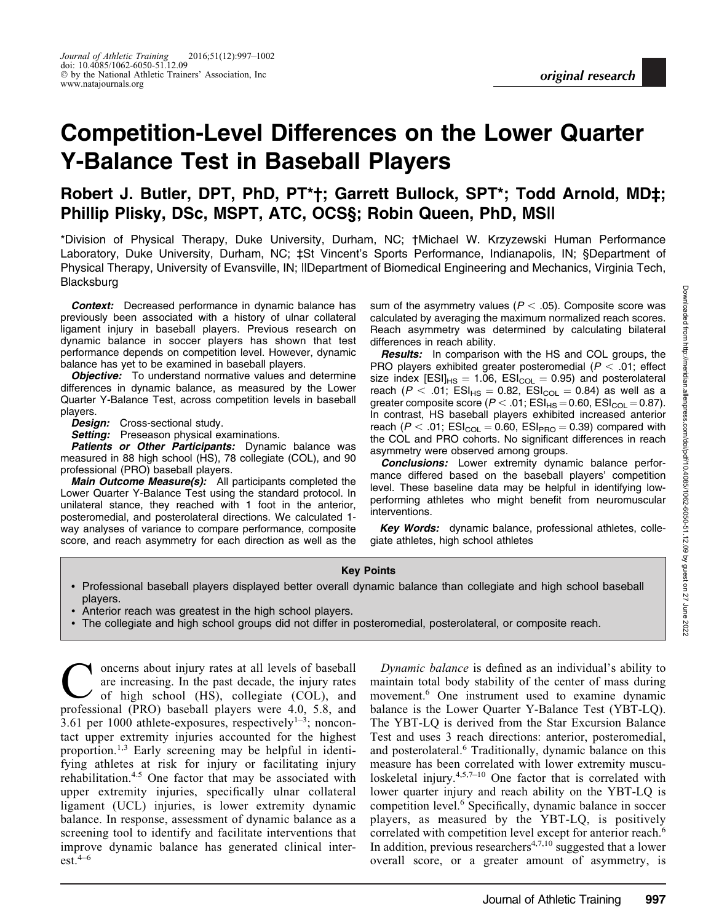# Competition-Level Differences on the Lower Quarter Y-Balance Test in Baseball Players

## Robert J. Butler, DPT, PhD, PT\*†; Garrett Bullock, SPT\*; Todd Arnold, MD‡; Phillip Plisky, DSc, MSPT, ATC, OCS§; Robin Queen, PhD, MS||

\*Division of Physical Therapy, Duke University, Durham, NC; †Michael W. Krzyzewski Human Performance Laboratory, Duke University, Durham, NC; ‡St Vincent's Sports Performance, Indianapolis, IN; §Department of Physical Therapy, University of Evansville, IN; ||Department of Biomedical Engineering and Mechanics, Virginia Tech, Blacksburg

**Context:** Decreased performance in dynamic balance has previously been associated with a history of ulnar collateral ligament injury in baseball players. Previous research on dynamic balance in soccer players has shown that test performance depends on competition level. However, dynamic balance has yet to be examined in baseball players.

**Objective:** To understand normative values and determine differences in dynamic balance, as measured by the Lower Quarter Y-Balance Test, across competition levels in baseball players.

Design: Cross-sectional study.

**Setting:** Preseason physical examinations.

Patients or Other Participants: Dynamic balance was measured in 88 high school (HS), 78 collegiate (COL), and 90 professional (PRO) baseball players.

**Main Outcome Measure(s):** All participants completed the Lower Quarter Y-Balance Test using the standard protocol. In unilateral stance, they reached with 1 foot in the anterior, posteromedial, and posterolateral directions. We calculated 1 way analyses of variance to compare performance, composite score, and reach asymmetry for each direction as well as the sum of the asymmetry values ( $P < .05$ ). Composite score was calculated by averaging the maximum normalized reach scores. Reach asymmetry was determined by calculating bilateral differences in reach ability.

**Results:** In comparison with the HS and COL groups, the PRO players exhibited greater posteromedial ( $P < .01$ ; effect size index  $[ESI]_{HS} = 1.06$ ,  $ESI_{COL} = 0.95$ ) and posterolateral reach ( $P < .01$ ; ESI<sub>HS</sub> = 0.82, ESI<sub>COL</sub> = 0.84) as well as a greater composite score ( $P < .01$ ; ESI<sub>HS</sub> = 0.60, ESI<sub>COL</sub> = 0.87). In contrast, HS baseball players exhibited increased anterior reach ( $P < .01$ ; ESI<sub>COL</sub> = 0.60, ESI<sub>PRO</sub> = 0.39) compared with the COL and PRO cohorts. No significant differences in reach asymmetry were observed among groups.

**Conclusions:** Lower extremity dynamic balance performance differed based on the baseball players' competition level. These baseline data may be helpful in identifying lowperforming athletes who might benefit from neuromuscular interventions.

Key Words: dynamic balance, professional athletes, collegiate athletes, high school athletes

#### Key Points

- Professional baseball players displayed better overall dynamic balance than collegiate and high school baseball players.
- Anterior reach was greatest in the high school players.
- The collegiate and high school groups did not differ in posteromedial, posterolateral, or composite reach.

oncerns about injury rates at all levels of baseball are increasing. In the past decade, the injury rates of high school (HS), collegiate (COL), and professional (PRO) baseball players were 4.0, 5.8, and 3.61 per 1000 athlete-exposures, respectively<sup>1-3</sup>; noncontact upper extremity injuries accounted for the highest proportion.1,3 Early screening may be helpful in identifying athletes at risk for injury or facilitating injury rehabilitation.4.5 One factor that may be associated with upper extremity injuries, specifically ulnar collateral ligament (UCL) injuries, is lower extremity dynamic balance. In response, assessment of dynamic balance as a screening tool to identify and facilitate interventions that improve dynamic balance has generated clinical inter $est.<sup>4–6</sup>$ 

Dynamic balance is defined as an individual's ability to maintain total body stability of the center of mass during movement.6 One instrument used to examine dynamic balance is the Lower Quarter Y-Balance Test (YBT-LQ). The YBT-LQ is derived from the Star Excursion Balance Test and uses 3 reach directions: anterior, posteromedial, and posterolateral.6 Traditionally, dynamic balance on this measure has been correlated with lower extremity musculoskeletal injury.<sup>4,5,7–10</sup> One factor that is correlated with lower quarter injury and reach ability on the YBT-LQ is competition level.6 Specifically, dynamic balance in soccer players, as measured by the YBT-LQ, is positively correlated with competition level except for anterior reach.<sup>6</sup> In addition, previous researchers<sup> $4,7,10$ </sup> suggested that a lower overall score, or a greater amount of asymmetry, is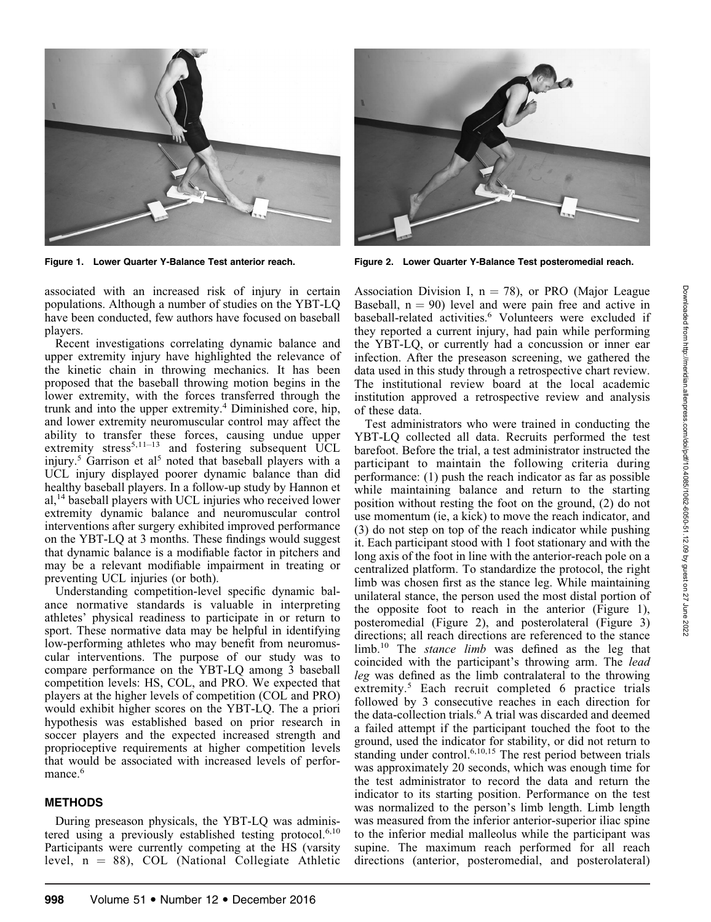

associated with an increased risk of injury in certain populations. Although a number of studies on the YBT-LQ have been conducted, few authors have focused on baseball players.

Recent investigations correlating dynamic balance and upper extremity injury have highlighted the relevance of the kinetic chain in throwing mechanics. It has been proposed that the baseball throwing motion begins in the lower extremity, with the forces transferred through the trunk and into the upper extremity.<sup>4</sup> Diminished core, hip, and lower extremity neuromuscular control may affect the ability to transfer these forces, causing undue upper extremity stress<sup>5,11–13</sup> and fostering subsequent UCL injury.<sup>5</sup> Garrison et al<sup>5</sup> noted that baseball players with a UCL injury displayed poorer dynamic balance than did healthy baseball players. In a follow-up study by Hannon et  $al<sup>14</sup>$  baseball players with UCL injuries who received lower extremity dynamic balance and neuromuscular control interventions after surgery exhibited improved performance on the YBT-LQ at 3 months. These findings would suggest that dynamic balance is a modifiable factor in pitchers and may be a relevant modifiable impairment in treating or preventing UCL injuries (or both).

Understanding competition-level specific dynamic balance normative standards is valuable in interpreting athletes' physical readiness to participate in or return to sport. These normative data may be helpful in identifying low-performing athletes who may benefit from neuromuscular interventions. The purpose of our study was to compare performance on the YBT-LQ among 3 baseball competition levels: HS, COL, and PRO. We expected that players at the higher levels of competition (COL and PRO) would exhibit higher scores on the YBT-LQ. The a priori hypothesis was established based on prior research in soccer players and the expected increased strength and proprioceptive requirements at higher competition levels that would be associated with increased levels of performance.<sup>6</sup>

#### METHODS

During preseason physicals, the YBT-LQ was administered using a previously established testing protocol.<sup>6,10</sup> Participants were currently competing at the HS (varsity level,  $n = 88$ ), COL (National Collegiate Athletic



Figure 1. Lower Quarter Y-Balance Test anterior reach. Figure 2. Lower Quarter Y-Balance Test posteromedial reach.

Association Division I,  $n = 78$ ), or PRO (Major League Baseball,  $n = 90$ ) level and were pain free and active in baseball-related activities.<sup>6</sup> Volunteers were excluded if they reported a current injury, had pain while performing the YBT-LQ, or currently had a concussion or inner ear infection. After the preseason screening, we gathered the data used in this study through a retrospective chart review. The institutional review board at the local academic institution approved a retrospective review and analysis of these data.

Test administrators who were trained in conducting the YBT-LQ collected all data. Recruits performed the test barefoot. Before the trial, a test administrator instructed the participant to maintain the following criteria during performance: (1) push the reach indicator as far as possible while maintaining balance and return to the starting position without resting the foot on the ground, (2) do not use momentum (ie, a kick) to move the reach indicator, and (3) do not step on top of the reach indicator while pushing it. Each participant stood with 1 foot stationary and with the long axis of the foot in line with the anterior-reach pole on a centralized platform. To standardize the protocol, the right limb was chosen first as the stance leg. While maintaining unilateral stance, the person used the most distal portion of the opposite foot to reach in the anterior (Figure 1), posteromedial (Figure 2), and posterolateral (Figure 3) directions; all reach directions are referenced to the stance  $\lim_{h \to 0}$  The *stance limb* was defined as the leg that coincided with the participant's throwing arm. The lead leg was defined as the limb contralateral to the throwing extremity.<sup>5</sup> Each recruit completed 6 practice trials followed by 3 consecutive reaches in each direction for the data-collection trials.<sup>6</sup> A trial was discarded and deemed a failed attempt if the participant touched the foot to the ground, used the indicator for stability, or did not return to standing under control.<sup>6,10,15</sup> The rest period between trials was approximately 20 seconds, which was enough time for the test administrator to record the data and return the indicator to its starting position. Performance on the test was normalized to the person's limb length. Limb length was measured from the inferior anterior-superior iliac spine to the inferior medial malleolus while the participant was supine. The maximum reach performed for all reach directions (anterior, posteromedial, and posterolateral)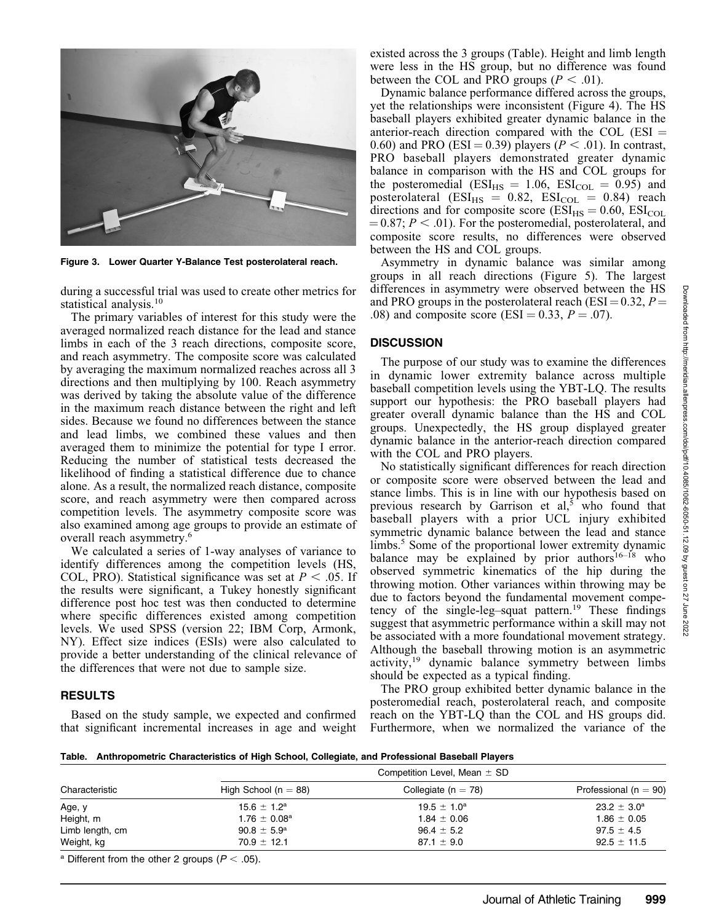

Figure 3. Lower Quarter Y-Balance Test posterolateral reach.

during a successful trial was used to create other metrics for statistical analysis.<sup>10</sup>

The primary variables of interest for this study were the averaged normalized reach distance for the lead and stance limbs in each of the 3 reach directions, composite score, and reach asymmetry. The composite score was calculated by averaging the maximum normalized reaches across all 3 directions and then multiplying by 100. Reach asymmetry was derived by taking the absolute value of the difference in the maximum reach distance between the right and left sides. Because we found no differences between the stance and lead limbs, we combined these values and then averaged them to minimize the potential for type I error. Reducing the number of statistical tests decreased the likelihood of finding a statistical difference due to chance alone. As a result, the normalized reach distance, composite score, and reach asymmetry were then compared across competition levels. The asymmetry composite score was also examined among age groups to provide an estimate of overall reach asymmetry.6

We calculated a series of 1-way analyses of variance to identify differences among the competition levels (HS, COL, PRO). Statistical significance was set at  $P < .05$ . If the results were significant, a Tukey honestly significant difference post hoc test was then conducted to determine where specific differences existed among competition levels. We used SPSS (version 22; IBM Corp, Armonk, NY). Effect size indices (ESIs) were also calculated to provide a better understanding of the clinical relevance of the differences that were not due to sample size.

#### RESULTS

Based on the study sample, we expected and confirmed that significant incremental increases in age and weight existed across the 3 groups (Table). Height and limb length were less in the HS group, but no difference was found between the COL and PRO groups ( $P < .01$ ).

Dynamic balance performance differed across the groups, yet the relationships were inconsistent (Figure 4). The HS baseball players exhibited greater dynamic balance in the anterior-reach direction compared with the COL ( $ESI =$ 0.60) and PRO (ESI = 0.39) players ( $P < .01$ ). In contrast, PRO baseball players demonstrated greater dynamic balance in comparison with the HS and COL groups for the posteromedial ( $ESI_{HS} = 1.06$ ,  $ESI_{COL} = 0.95$ ) and posterolateral ( $ESI_{HS} = 0.82$ ,  $ESI_{COL} = 0.84$ ) reach directions and for composite score ( $ESI_{HS} = 0.60$ ,  $ESI_{COL}$  $\mu = 0.87$ ;  $P < .01$ ). For the posteromedial, posterolateral, and composite score results, no differences were observed between the HS and COL groups.

Asymmetry in dynamic balance was similar among groups in all reach directions (Figure 5). The largest differences in asymmetry were observed between the HS and PRO groups in the posterolateral reach (ESI =  $0.32$ ,  $P =$ .08) and composite score (ESI = 0.33,  $P = .07$ ).

#### **DISCUSSION**

The purpose of our study was to examine the differences in dynamic lower extremity balance across multiple baseball competition levels using the YBT-LQ. The results support our hypothesis: the PRO baseball players had greater overall dynamic balance than the HS and COL groups. Unexpectedly, the HS group displayed greater dynamic balance in the anterior-reach direction compared with the COL and PRO players.

No statistically significant differences for reach direction or composite score were observed between the lead and stance limbs. This is in line with our hypothesis based on previous research by Garrison et al, $5 \text{ who found that}$ baseball players with a prior UCL injury exhibited symmetric dynamic balance between the lead and stance limbs.<sup>5</sup> Some of the proportional lower extremity dynamic balance may be explained by prior authors $16-18$  who observed symmetric kinematics of the hip during the throwing motion. Other variances within throwing may be due to factors beyond the fundamental movement competency of the single-leg-squat pattern.<sup>19</sup> These findings suggest that asymmetric performance within a skill may not be associated with a more foundational movement strategy. Although the baseball throwing motion is an asymmetric activity,<sup>19</sup> dynamic balance symmetry between limbs should be expected as a typical finding.

The PRO group exhibited better dynamic balance in the posteromedial reach, posterolateral reach, and composite reach on the YBT-LQ than the COL and HS groups did. Furthermore, when we normalized the variance of the

Table. Anthropometric Characteristics of High School, Collegiate, and Professional Baseball Players

| Characteristic  | Competition Level, Mean $\pm$ SD |                         |                           |
|-----------------|----------------------------------|-------------------------|---------------------------|
|                 | High School ( $n = 88$ )         | Collegiate ( $n = 78$ ) | Professional ( $n = 90$ ) |
| Age, y          | $15.6 \pm 1.2^a$                 | $19.5 \pm 1.0^a$        | $23.2 \pm 3.0^{\circ}$    |
| Height, m       | $1.76 \pm 0.08^{\rm a}$          | $1.84 \pm 0.06$         | $1.86 \pm 0.05$           |
| Limb length, cm | $90.8 \pm 5.9^{\rm a}$           | $96.4 \pm 5.2$          | $97.5 \pm 4.5$            |
| Weight, kg      | $70.9 \pm 12.1$                  | $87.1 \pm 9.0$          | $92.5 \pm 11.5$           |
|                 |                                  |                         |                           |

 $^{\rm a}$  Different from the other 2 groups ( $P$   $<$  .05).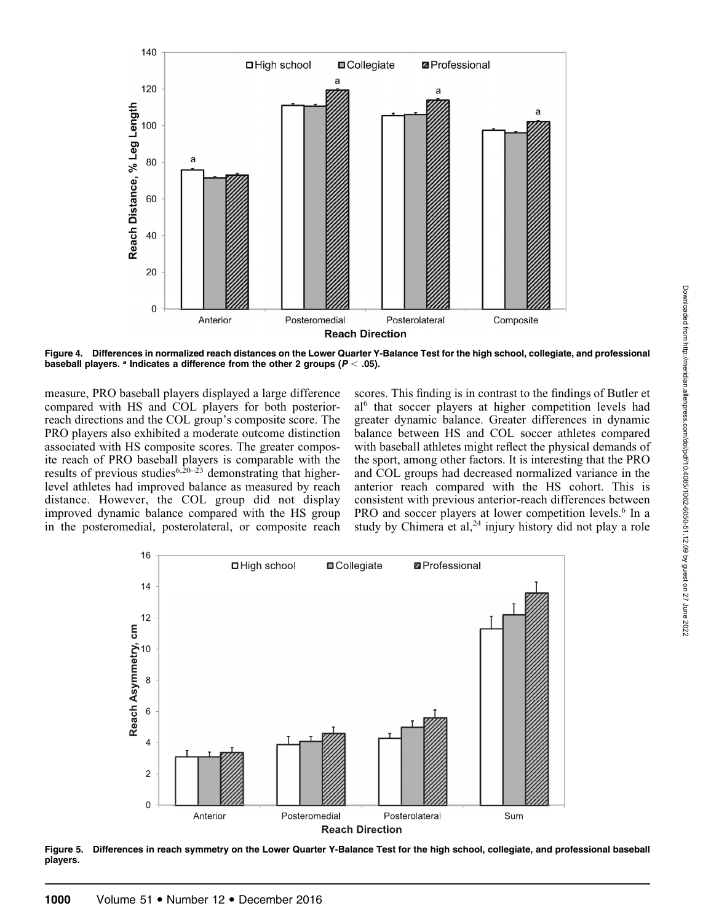

measure, PRO baseball players displayed a large difference compared with HS and COL players for both posteriorreach directions and the COL group's composite score. The PRO players also exhibited a moderate outcome distinction associated with HS composite scores. The greater composite reach of PRO baseball players is comparable with the results of previous studies<sup>6,20–23</sup> demonstrating that higherlevel athletes had improved balance as measured by reach distance. However, the COL group did not display improved dynamic balance compared with the HS group in the posteromedial, posterolateral, or composite reach

Anterior

140

120

100

80

60

40

20

0

a

Reach Distance, % Leg Length

□ High school

 $\overline{a}$ 

Posteromedial

scores. This finding is in contrast to the findings of Butler et al<sup>6</sup> that soccer players at higher competition levels had greater dynamic balance. Greater differences in dynamic balance between HS and COL soccer athletes compared with baseball athletes might reflect the physical demands of the sport, among other factors. It is interesting that the PRO and COL groups had decreased normalized variance in the anterior reach compared with the HS cohort. This is consistent with previous anterior-reach differences between PRO and soccer players at lower competition levels.<sup>6</sup> In a study by Chimera et al, $^{24}$  injury history did not play a role



Figure 5. Differences in reach symmetry on the Lower Quarter Y-Balance Test for the high school, collegiate, and professional baseball players.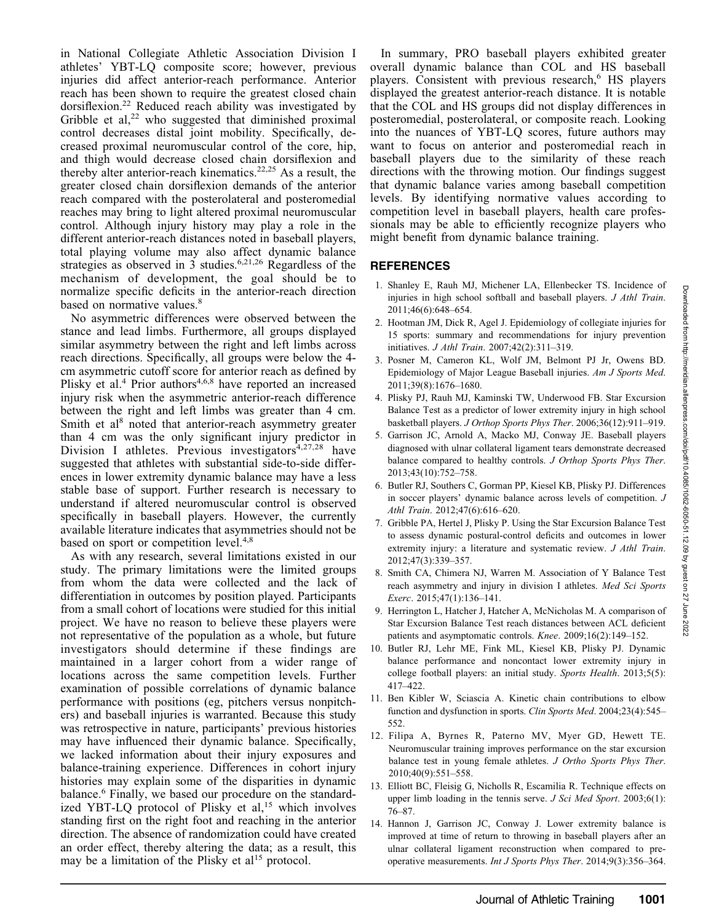in National Collegiate Athletic Association Division I athletes' YBT-LQ composite score; however, previous injuries did affect anterior-reach performance. Anterior reach has been shown to require the greatest closed chain dorsiflexion.<sup>22</sup> Reduced reach ability was investigated by Gribble et al, $^{22}$  who suggested that diminished proximal control decreases distal joint mobility. Specifically, decreased proximal neuromuscular control of the core, hip, and thigh would decrease closed chain dorsiflexion and thereby alter anterior-reach kinematics.<sup>22,25</sup> As a result, the greater closed chain dorsiflexion demands of the anterior reach compared with the posterolateral and posteromedial reaches may bring to light altered proximal neuromuscular control. Although injury history may play a role in the different anterior-reach distances noted in baseball players, total playing volume may also affect dynamic balance strategies as observed in 3 studies.<sup>6,21,26</sup> Regardless of the mechanism of development, the goal should be to normalize specific deficits in the anterior-reach direction based on normative values.<sup>8</sup>

No asymmetric differences were observed between the stance and lead limbs. Furthermore, all groups displayed similar asymmetry between the right and left limbs across reach directions. Specifically, all groups were below the 4 cm asymmetric cutoff score for anterior reach as defined by Plisky et al.<sup>4</sup> Prior authors<sup>4,6,8</sup> have reported an increased injury risk when the asymmetric anterior-reach difference between the right and left limbs was greater than 4 cm. Smith et al<sup>8</sup> noted that anterior-reach asymmetry greater than 4 cm was the only significant injury predictor in Division I athletes. Previous investigators $4,27,28$  have suggested that athletes with substantial side-to-side differences in lower extremity dynamic balance may have a less stable base of support. Further research is necessary to understand if altered neuromuscular control is observed specifically in baseball players. However, the currently available literature indicates that asymmetries should not be based on sport or competition level.<sup>4,8</sup>

As with any research, several limitations existed in our study. The primary limitations were the limited groups from whom the data were collected and the lack of differentiation in outcomes by position played. Participants from a small cohort of locations were studied for this initial project. We have no reason to believe these players were not representative of the population as a whole, but future investigators should determine if these findings are maintained in a larger cohort from a wider range of locations across the same competition levels. Further examination of possible correlations of dynamic balance performance with positions (eg, pitchers versus nonpitchers) and baseball injuries is warranted. Because this study was retrospective in nature, participants' previous histories may have influenced their dynamic balance. Specifically, we lacked information about their injury exposures and balance-training experience. Differences in cohort injury histories may explain some of the disparities in dynamic balance.6 Finally, we based our procedure on the standardized YBT-LQ protocol of Plisky et  $al$ ,<sup>15</sup> which involves standing first on the right foot and reaching in the anterior direction. The absence of randomization could have created an order effect, thereby altering the data; as a result, this may be a limitation of the Plisky et  $al<sup>15</sup>$  protocol.

In summary, PRO baseball players exhibited greater overall dynamic balance than COL and HS baseball players. Consistent with previous research,<sup>6</sup> HS players displayed the greatest anterior-reach distance. It is notable that the COL and HS groups did not display differences in posteromedial, posterolateral, or composite reach. Looking into the nuances of YBT-LQ scores, future authors may want to focus on anterior and posteromedial reach in baseball players due to the similarity of these reach directions with the throwing motion. Our findings suggest that dynamic balance varies among baseball competition levels. By identifying normative values according to competition level in baseball players, health care professionals may be able to efficiently recognize players who might benefit from dynamic balance training.

### REFERENCES

- 1. Shanley E, Rauh MJ, Michener LA, Ellenbecker TS. Incidence of injuries in high school softball and baseball players. J Athl Train. 2011;46(6):648–654.
- 2. Hootman JM, Dick R, Agel J. Epidemiology of collegiate injuries for 15 sports: summary and recommendations for injury prevention initiatives. J Athl Train. 2007;42(2):311–319.
- 3. Posner M, Cameron KL, Wolf JM, Belmont PJ Jr, Owens BD. Epidemiology of Major League Baseball injuries. Am J Sports Med. 2011;39(8):1676–1680.
- 4. Plisky PJ, Rauh MJ, Kaminski TW, Underwood FB. Star Excursion Balance Test as a predictor of lower extremity injury in high school basketball players. J Orthop Sports Phys Ther. 2006;36(12):911–919.
- 5. Garrison JC, Arnold A, Macko MJ, Conway JE. Baseball players diagnosed with ulnar collateral ligament tears demonstrate decreased balance compared to healthy controls. J Orthop Sports Phys Ther. 2013;43(10):752–758.
- 6. Butler RJ, Southers C, Gorman PP, Kiesel KB, Plisky PJ. Differences in soccer players' dynamic balance across levels of competition. J Athl Train. 2012;47(6):616–620.
- 7. Gribble PA, Hertel J, Plisky P. Using the Star Excursion Balance Test to assess dynamic postural-control deficits and outcomes in lower extremity injury: a literature and systematic review. *J Athl Train.* 2012;47(3):339–357.
- 8. Smith CA, Chimera NJ, Warren M. Association of Y Balance Test reach asymmetry and injury in division I athletes. Med Sci Sports Exerc. 2015;47(1):136–141.
- 9. Herrington L, Hatcher J, Hatcher A, McNicholas M. A comparison of Star Excursion Balance Test reach distances between ACL deficient patients and asymptomatic controls. Knee. 2009;16(2):149–152.
- 10. Butler RJ, Lehr ME, Fink ML, Kiesel KB, Plisky PJ. Dynamic balance performance and noncontact lower extremity injury in college football players: an initial study. Sports Health. 2013;5(5): 417–422.
- 11. Ben Kibler W, Sciascia A. Kinetic chain contributions to elbow function and dysfunction in sports. Clin Sports Med. 2004;23(4):545– 552.
- 12. Filipa A, Byrnes R, Paterno MV, Myer GD, Hewett TE. Neuromuscular training improves performance on the star excursion balance test in young female athletes. J Ortho Sports Phys Ther. 2010;40(9):551–558.
- 13. Elliott BC, Fleisig G, Nicholls R, Escamilia R. Technique effects on upper limb loading in the tennis serve. J Sci Med Sport. 2003;6(1): 76–87.
- 14. Hannon J, Garrison JC, Conway J. Lower extremity balance is improved at time of return to throwing in baseball players after an ulnar collateral ligament reconstruction when compared to preoperative measurements. Int J Sports Phys Ther. 2014;9(3):356–364.